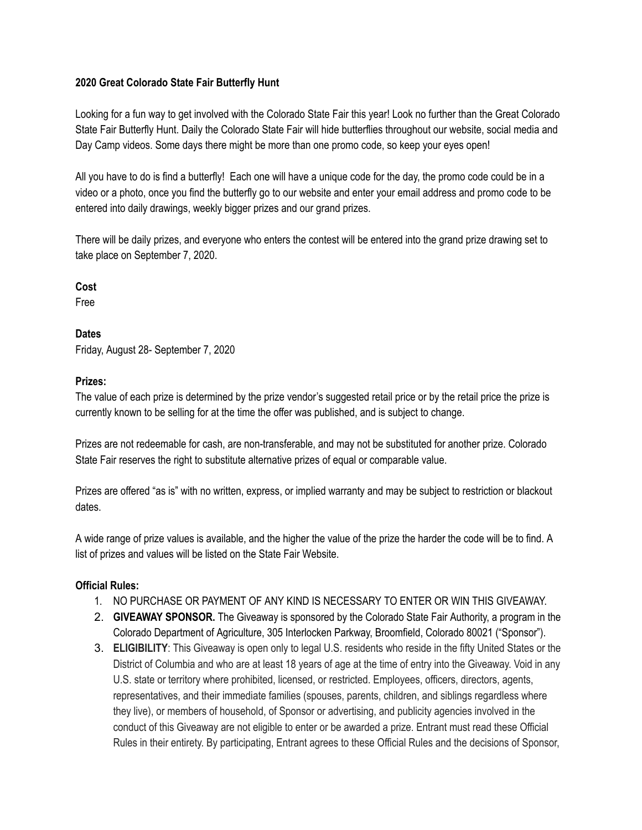### **2020 Great Colorado State Fair Butterfly Hunt**

Looking for a fun way to get involved with the Colorado State Fair this year! Look no further than the Great Colorado State Fair Butterfly Hunt. Daily the Colorado State Fair will hide butterflies throughout our website, social media and Day Camp videos. Some days there might be more than one promo code, so keep your eyes open!

All you have to do is find a butterfly! Each one will have a unique code for the day, the promo code could be in a video or a photo, once you find the butterfly go to our website and enter your email address and promo code to be entered into daily drawings, weekly bigger prizes and our grand prizes.

There will be daily prizes, and everyone who enters the contest will be entered into the grand prize drawing set to take place on September 7, 2020.

#### **Cost**

Free

## **Dates**

Friday, August 28- September 7, 2020

### **Prizes:**

The value of each prize is determined by the prize vendor's suggested retail price or by the retail price the prize is currently known to be selling for at the time the offer was published, and is subject to change.

Prizes are not redeemable for cash, are non-transferable, and may not be substituted for another prize. Colorado State Fair reserves the right to substitute alternative prizes of equal or comparable value.

Prizes are offered "as is" with no written, express, or implied warranty and may be subject to restriction or blackout dates.

A wide range of prize values is available, and the higher the value of the prize the harder the code will be to find. A list of prizes and values will be listed on the State Fair Website.

### **Official Rules:**

- 1. NO PURCHASE OR PAYMENT OF ANY KIND IS NECESSARY TO ENTER OR WIN THIS GIVEAWAY.
- 2. **GIVEAWAY SPONSOR.** The Giveaway is sponsored by the Colorado State Fair Authority, a program in the Colorado Department of Agriculture, 305 Interlocken Parkway, Broomfield, Colorado 80021 ("Sponsor").
- 3. **ELIGIBILITY**: This Giveaway is open only to legal U.S. residents who reside in the fifty United States or the District of Columbia and who are at least 18 years of age at the time of entry into the Giveaway. Void in any U.S. state or territory where prohibited, licensed, or restricted. Employees, officers, directors, agents, representatives, and their immediate families (spouses, parents, children, and siblings regardless where they live), or members of household, of Sponsor or advertising, and publicity agencies involved in the conduct of this Giveaway are not eligible to enter or be awarded a prize. Entrant must read these Official Rules in their entirety. By participating, Entrant agrees to these Official Rules and the decisions of Sponsor,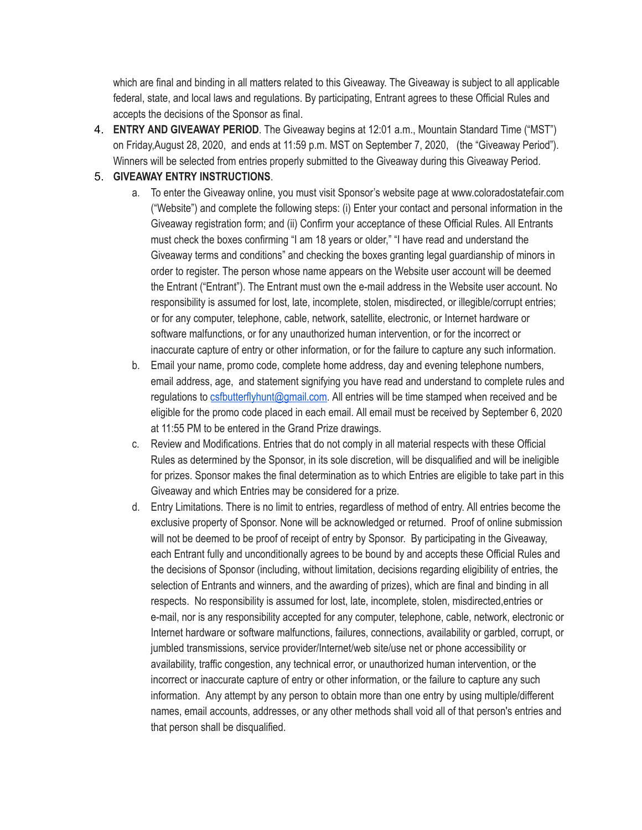which are final and binding in all matters related to this Giveaway. The Giveaway is subject to all applicable federal, state, and local laws and regulations. By participating, Entrant agrees to these Official Rules and accepts the decisions of the Sponsor as final.

4. **ENTRY AND GIVEAWAY PERIOD**. The Giveaway begins at 12:01 a.m., Mountain Standard Time ("MST") on Friday,August 28, 2020, and ends at 11:59 p.m. MST on September 7, 2020, (the "Giveaway Period"). Winners will be selected from entries properly submitted to the Giveaway during this Giveaway Period.

# 5. **GIVEAWAY ENTRY INSTRUCTIONS**.

- a. To enter the Giveaway online, you must visit Sponsor's website page at www.coloradostatefair.com ("Website") and complete the following steps: (i) Enter your contact and personal information in the Giveaway registration form; and (ii) Confirm your acceptance of these Official Rules. All Entrants must check the boxes confirming "I am 18 years or older," "I have read and understand the Giveaway terms and conditions" and checking the boxes granting legal guardianship of minors in order to register. The person whose name appears on the Website user account will be deemed the Entrant ("Entrant"). The Entrant must own the e-mail address in the Website user account. No responsibility is assumed for lost, late, incomplete, stolen, misdirected, or illegible/corrupt entries; or for any computer, telephone, cable, network, satellite, electronic, or Internet hardware or software malfunctions, or for any unauthorized human intervention, or for the incorrect or inaccurate capture of entry or other information, or for the failure to capture any such information.
- b. Email your name, promo code, complete home address, day and evening telephone numbers, email address, age, and statement signifying you have read and understand to complete rules and regulations to [csfbutterflyhunt@gmail.com](mailto:csfbutterflyhunt@gmail.com). All entries will be time stamped when received and be eligible for the promo code placed in each email. All email must be received by September 6, 2020 at 11:55 PM to be entered in the Grand Prize drawings.
- c. Review and Modifications. Entries that do not comply in all material respects with these Official Rules as determined by the Sponsor, in its sole discretion, will be disqualified and will be ineligible for prizes. Sponsor makes the final determination as to which Entries are eligible to take part in this Giveaway and which Entries may be considered for a prize.
- d. Entry Limitations. There is no limit to entries, regardless of method of entry. All entries become the exclusive property of Sponsor. None will be acknowledged or returned. Proof of online submission will not be deemed to be proof of receipt of entry by Sponsor. By participating in the Giveaway, each Entrant fully and unconditionally agrees to be bound by and accepts these Official Rules and the decisions of Sponsor (including, without limitation, decisions regarding eligibility of entries, the selection of Entrants and winners, and the awarding of prizes), which are final and binding in all respects. No responsibility is assumed for lost, late, incomplete, stolen, misdirected,entries or e-mail, nor is any responsibility accepted for any computer, telephone, cable, network, electronic or Internet hardware or software malfunctions, failures, connections, availability or garbled, corrupt, or jumbled transmissions, service provider/Internet/web site/use net or phone accessibility or availability, traffic congestion, any technical error, or unauthorized human intervention, or the incorrect or inaccurate capture of entry or other information, or the failure to capture any such information. Any attempt by any person to obtain more than one entry by using multiple/different names, email accounts, addresses, or any other methods shall void all of that person's entries and that person shall be disqualified.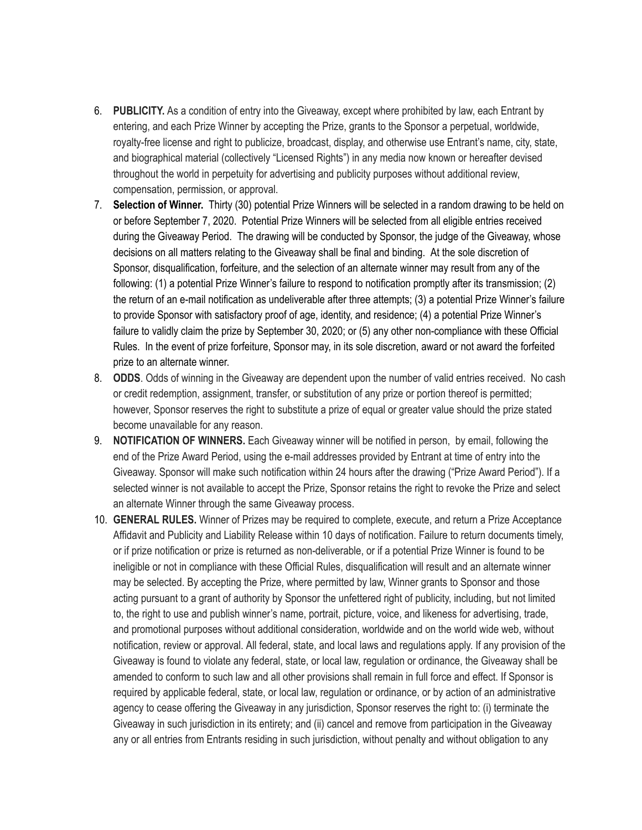- 6. **PUBLICITY.** As a condition of entry into the Giveaway, except where prohibited by law, each Entrant by entering, and each Prize Winner by accepting the Prize, grants to the Sponsor a perpetual, worldwide, royalty-free license and right to publicize, broadcast, display, and otherwise use Entrant's name, city, state, and biographical material (collectively "Licensed Rights") in any media now known or hereafter devised throughout the world in perpetuity for advertising and publicity purposes without additional review, compensation, permission, or approval.
- 7. **Selection of Winner.** Thirty (30) potential Prize Winners will be selected in a random drawing to be held on or before September 7, 2020. Potential Prize Winners will be selected from all eligible entries received during the Giveaway Period. The drawing will be conducted by Sponsor, the judge of the Giveaway, whose decisions on all matters relating to the Giveaway shall be final and binding. At the sole discretion of Sponsor, disqualification, forfeiture, and the selection of an alternate winner may result from any of the following: (1) a potential Prize Winner's failure to respond to notification promptly after its transmission; (2) the return of an e-mail notification as undeliverable after three attempts; (3) a potential Prize Winner's failure to provide Sponsor with satisfactory proof of age, identity, and residence; (4) a potential Prize Winner's failure to validly claim the prize by September 30, 2020; or (5) any other non-compliance with these Official Rules. In the event of prize forfeiture, Sponsor may, in its sole discretion, award or not award the forfeited prize to an alternate winner.
- 8. **ODDS**. Odds of winning in the Giveaway are dependent upon the number of valid entries received. No cash or credit redemption, assignment, transfer, or substitution of any prize or portion thereof is permitted; however, Sponsor reserves the right to substitute a prize of equal or greater value should the prize stated become unavailable for any reason.
- 9. **NOTIFICATION OF WINNERS.** Each Giveaway winner will be notified in person, by email, following the end of the Prize Award Period, using the e-mail addresses provided by Entrant at time of entry into the Giveaway. Sponsor will make such notification within 24 hours after the drawing ("Prize Award Period"). If a selected winner is not available to accept the Prize, Sponsor retains the right to revoke the Prize and select an alternate Winner through the same Giveaway process.
- 10. **GENERAL RULES.** Winner of Prizes may be required to complete, execute, and return a Prize Acceptance Affidavit and Publicity and Liability Release within 10 days of notification. Failure to return documents timely, or if prize notification or prize is returned as non-deliverable, or if a potential Prize Winner is found to be ineligible or not in compliance with these Official Rules, disqualification will result and an alternate winner may be selected. By accepting the Prize, where permitted by law, Winner grants to Sponsor and those acting pursuant to a grant of authority by Sponsor the unfettered right of publicity, including, but not limited to, the right to use and publish winner's name, portrait, picture, voice, and likeness for advertising, trade, and promotional purposes without additional consideration, worldwide and on the world wide web, without notification, review or approval. All federal, state, and local laws and regulations apply. If any provision of the Giveaway is found to violate any federal, state, or local law, regulation or ordinance, the Giveaway shall be amended to conform to such law and all other provisions shall remain in full force and effect. If Sponsor is required by applicable federal, state, or local law, regulation or ordinance, or by action of an administrative agency to cease offering the Giveaway in any jurisdiction, Sponsor reserves the right to: (i) terminate the Giveaway in such jurisdiction in its entirety; and (ii) cancel and remove from participation in the Giveaway any or all entries from Entrants residing in such jurisdiction, without penalty and without obligation to any